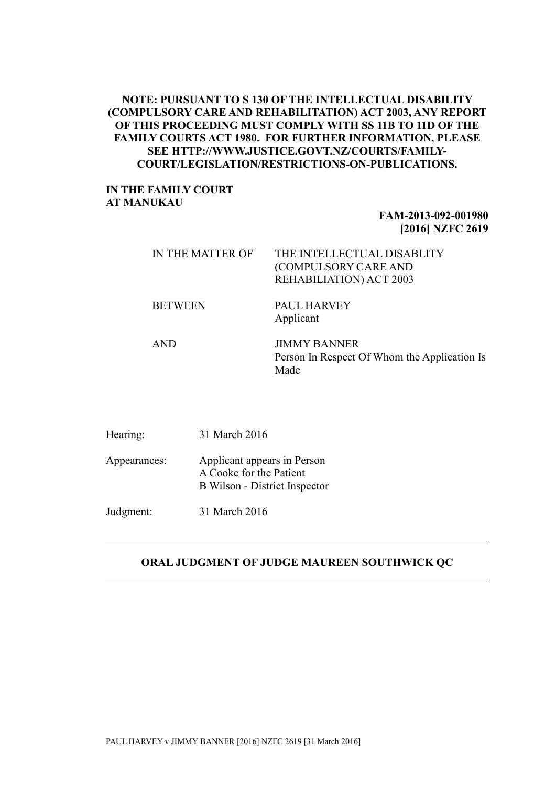## **NOTE: PURSUANT TO S 130 OF THE INTELLECTUAL DISABILITY (COMPULSORY CARE AND REHABILITATION) ACT 2003, ANY REPORT OF THIS PROCEEDING MUST COMPLY WITH SS 11B TO 11D OF THE FAMILY COURTS ACT 1980. FOR FURTHER INFORMATION, PLEASE SEE HTTP://WWW.JUSTICE.GOVT.NZ/COURTS/FAMILY-COURT/LEGISLATION/RESTRICTIONS-ON-PUBLICATIONS.**

## **IN THE FAMILY COURT AT MANUKAU**

# **FAM-2013-092-001980 [2016] NZFC 2619**

| IN THE MATTER OF | THE INTELLECTUAL DISABLITY<br>(COMPULSORY CARE AND<br>REHABILIATION) ACT 2003 |
|------------------|-------------------------------------------------------------------------------|
| <b>BETWEEN</b>   | <b>PAUL HARVEY</b><br>Applicant                                               |
| <b>AND</b>       | <b>JIMMY BANNER</b><br>Person In Respect Of Whom the Application Is<br>Made   |

| Hearing:     | 31 March 2016                                                                           |
|--------------|-----------------------------------------------------------------------------------------|
| Appearances: | Applicant appears in Person<br>A Cooke for the Patient<br>B Wilson - District Inspector |
| Judgment:    | 31 March 2016                                                                           |

#### **ORAL JUDGMENT OF JUDGE MAUREEN SOUTHWICK QC**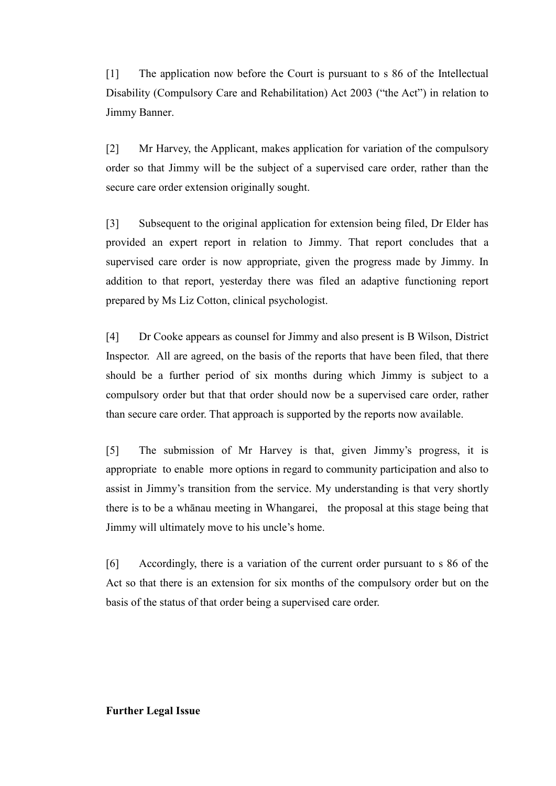[1] The application now before the Court is pursuant to s 86 of the Intellectual Disability (Compulsory Care and Rehabilitation) Act 2003 ("the Act") in relation to Jimmy Banner.

[2] Mr Harvey, the Applicant, makes application for variation of the compulsory order so that Jimmy will be the subject of a supervised care order, rather than the secure care order extension originally sought.

[3] Subsequent to the original application for extension being filed, Dr Elder has provided an expert report in relation to Jimmy. That report concludes that a supervised care order is now appropriate, given the progress made by Jimmy. In addition to that report, yesterday there was filed an adaptive functioning report prepared by Ms Liz Cotton, clinical psychologist.

[4] Dr Cooke appears as counsel for Jimmy and also present is B Wilson, District Inspector. All are agreed, on the basis of the reports that have been filed, that there should be a further period of six months during which Jimmy is subject to a compulsory order but that that order should now be a supervised care order, rather than secure care order. That approach is supported by the reports now available.

[5] The submission of Mr Harvey is that, given Jimmy's progress, it is appropriate to enable more options in regard to community participation and also to assist in Jimmy's transition from the service. My understanding is that very shortly there is to be a whānau meeting in Whangarei, the proposal at this stage being that Jimmy will ultimately move to his uncle's home.

[6] Accordingly, there is a variation of the current order pursuant to s 86 of the Act so that there is an extension for six months of the compulsory order but on the basis of the status of that order being a supervised care order.

## **Further Legal Issue**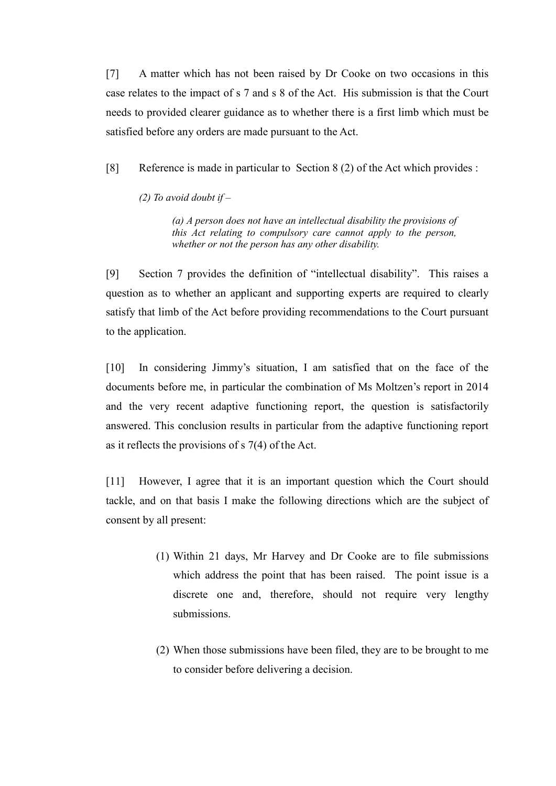[7] A matter which has not been raised by Dr Cooke on two occasions in this case relates to the impact of s 7 and s 8 of the Act. His submission is that the Court needs to provided clearer guidance as to whether there is a first limb which must be satisfied before any orders are made pursuant to the Act.

[8] Reference is made in particular to Section 8 (2) of the Act which provides :

*(2) To avoid doubt if –*

*(a) A person does not have an intellectual disability the provisions of this Act relating to compulsory care cannot apply to the person, whether or not the person has any other disability.*

[9] Section 7 provides the definition of "intellectual disability". This raises a question as to whether an applicant and supporting experts are required to clearly satisfy that limb of the Act before providing recommendations to the Court pursuant to the application.

[10] In considering Jimmy's situation, I am satisfied that on the face of the documents before me, in particular the combination of Ms Moltzen's report in 2014 and the very recent adaptive functioning report, the question is satisfactorily answered. This conclusion results in particular from the adaptive functioning report as it reflects the provisions of s 7(4) of the Act.

[11] However, I agree that it is an important question which the Court should tackle, and on that basis I make the following directions which are the subject of consent by all present:

- (1) Within 21 days, Mr Harvey and Dr Cooke are to file submissions which address the point that has been raised. The point issue is a discrete one and, therefore, should not require very lengthy submissions.
- (2) When those submissions have been filed, they are to be brought to me to consider before delivering a decision.